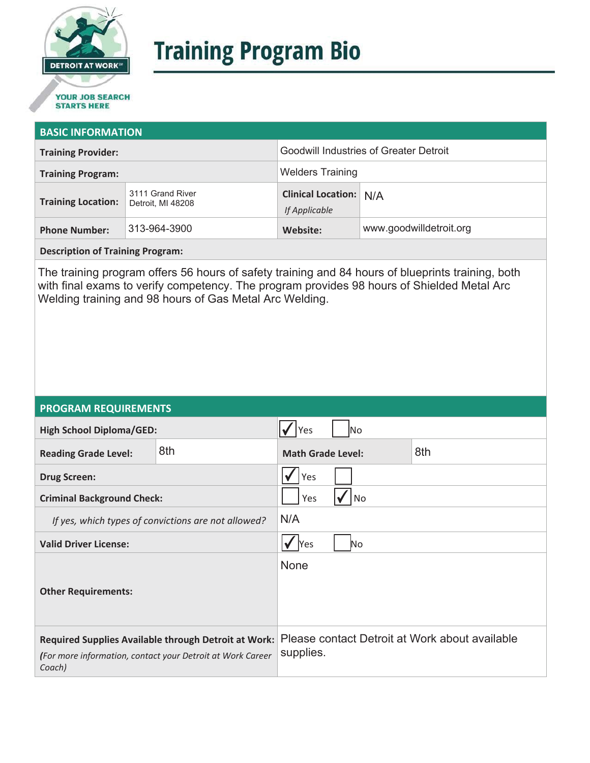

# **Training Program Bio**

# **STARTS HERE**

#### **BASIC INFORMATION**

| <b>Training Provider:</b> |                                       | <b>Goodwill Industries of Greater Detroit</b>  |                         |  |
|---------------------------|---------------------------------------|------------------------------------------------|-------------------------|--|
| <b>Training Program:</b>  |                                       | <b>Welders Training</b>                        |                         |  |
| <b>Training Location:</b> | 3111 Grand River<br>Detroit. MI 48208 | <b>Clinical Location: N/A</b><br>If Applicable |                         |  |
| <b>Phone Number:</b>      | 313-964-3900                          | Website:                                       | www.goodwilldetroit.org |  |

**Description of Training Program:** 

The training program offers 56 hours of safety training and 84 hours of blueprints training, both with final exams to verify competency. The program provides 98 hours of Shielded Metal Arc Welding training and 98 hours of Gas Metal Arc Welding.

### **PROGRAM REQUIREMENTS**

| <b>High School Diploma/GED:</b>                                                                                              |     | Yes<br>lNo                      |  |                                                |
|------------------------------------------------------------------------------------------------------------------------------|-----|---------------------------------|--|------------------------------------------------|
| <b>Reading Grade Level:</b>                                                                                                  | 8th | 8th<br><b>Math Grade Level:</b> |  |                                                |
| <b>Drug Screen:</b>                                                                                                          |     | Yes                             |  |                                                |
| <b>Criminal Background Check:</b>                                                                                            |     | Yes<br>No                       |  |                                                |
| If yes, which types of convictions are not allowed?                                                                          |     | N/A                             |  |                                                |
| <b>Valid Driver License:</b>                                                                                                 |     | <b>Yes</b><br>No.               |  |                                                |
| <b>Other Requirements:</b>                                                                                                   |     | None                            |  |                                                |
| Required Supplies Available through Detroit at Work:<br>(For more information, contact your Detroit at Work Career<br>Coach) |     | supplies.                       |  | Please contact Detroit at Work about available |